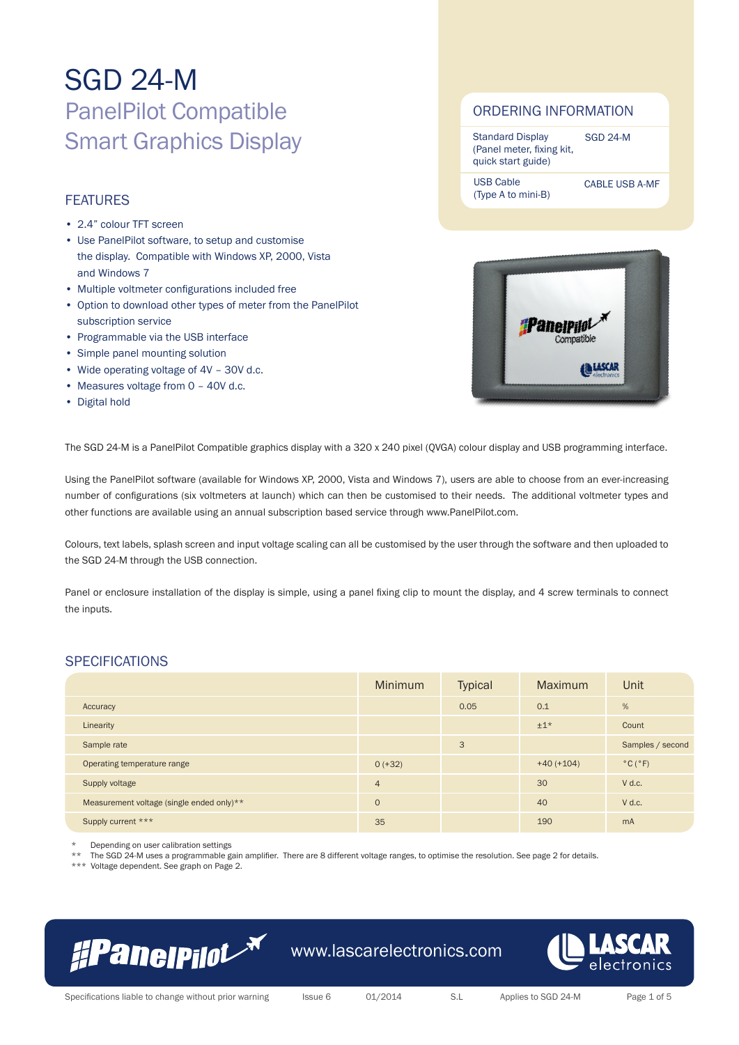# **FEATURES**

- 2.4" colour TFT screen
- Use PanelPilot software, to setup and customise the display. Compatible with Windows XP, 2000, Vista and Windows 7
- Multiple voltmeter configurations included free
- Option to download other types of meter from the PanelPilot subscription service
- • Programmable via the USB interface
- • Simple panel mounting solution
- Wide operating voltage of 4V 30V d.c.
- Measures voltage from 0 40V d.c.
- Digital hold

### ORDERING INFORMATION

| <b>Standard Display</b>   | <b>SGD 24-M</b> |
|---------------------------|-----------------|
| (Panel meter, fixing kit, |                 |
| quick start guide)        |                 |

USB Cable (Type A to mini-B)

CABLE USB A-MF



The SGD 24-M is a PanelPilot Compatible graphics display with a 320 x 240 pixel (QVGA) colour display and USB programming interface.

Using the PanelPilot software (available for Windows XP, 2000, Vista and Windows 7), users are able to choose from an ever-increasing number of configurations (six voltmeters at launch) which can then be customised to their needs. The additional voltmeter types and other functions are available using an annual subscription based service through www.PanelPilot.com.

Colours, text labels, splash screen and input voltage scaling can all be customised by the user through the software and then uploaded to the SGD 24-M through the USB connection.

Panel or enclosure installation of the display is simple, using a panel fixing clip to mount the display, and 4 screw terminals to connect the inputs.

### **SPECIFICATIONS**

|                                           | <b>Minimum</b> | <b>Typical</b> | <b>Maximum</b> | Unit                         |
|-------------------------------------------|----------------|----------------|----------------|------------------------------|
| Accuracy                                  |                | 0.05           | 0.1            | %                            |
| Linearity                                 |                |                | $±1*$          | Count                        |
| Sample rate                               |                | 3              |                | Samples / second             |
| Operating temperature range               | $0 (+32)$      |                | $+40 (+104)$   | $^{\circ}$ C ( $^{\circ}$ F) |
| Supply voltage                            | $\overline{4}$ |                | 30             | $V$ d.c.                     |
| Measurement voltage (single ended only)** | $\circ$        |                | 40             | $V$ d.c.                     |
| Supply current ***                        | 35             |                | 190            | m <sub>A</sub>               |

Depending on user calibration settings

The SGD 24-M uses a programmable gain amplifier. There are 8 different voltage ranges, to optimise the resolution. See page 2 for details.

\*\*\* Voltage dependent. See graph on Page 2.



www.lascarelectronics.com

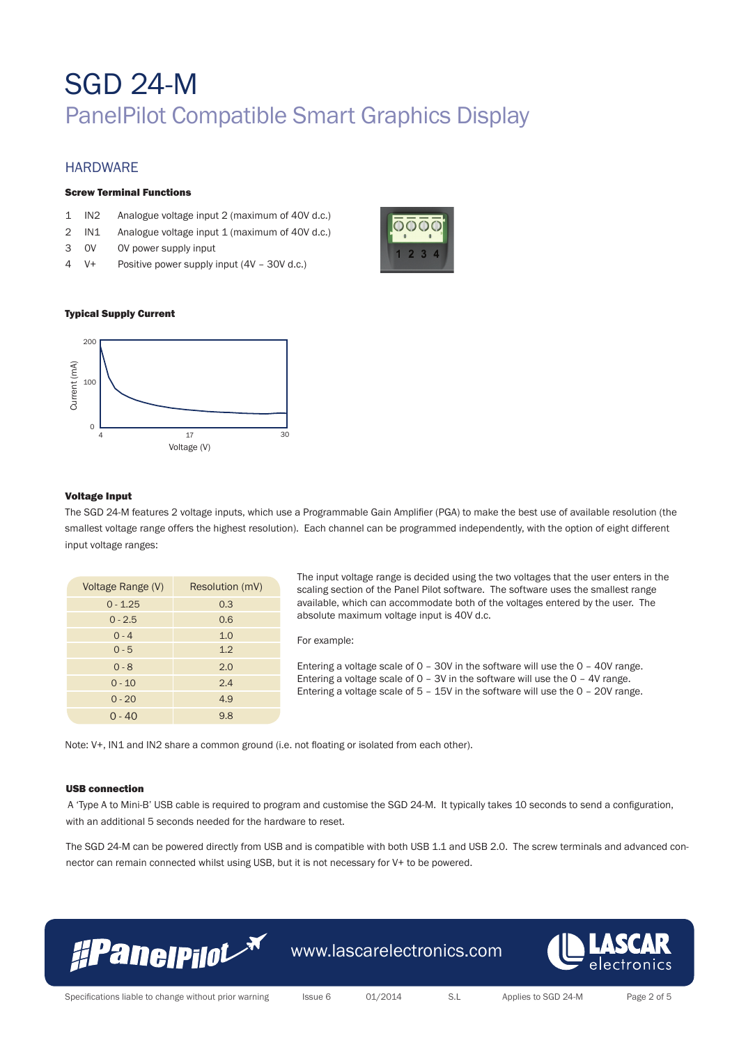### **HARDWARE**

### Screw Terminal Functions

- 1 IN2 Analogue voltage input 2 (maximum of 40V d.c.)
- 2 IN1 Analogue voltage input 1 (maximum of 40V d.c.)
- 3 0V 0V power supply input
- 4 V+ Positive power supply input (4V 30V d.c.)



### Typical Supply Current



### Voltage Input

The SGD 24-M features 2 voltage inputs, which use a Programmable Gain Amplifier (PGA) to make the best use of available resolution (the smallest voltage range offers the highest resolution). Each channel can be programmed independently, with the option of eight different input voltage ranges:

| Voltage Range (V) | Resolution (mV) |
|-------------------|-----------------|
| $0 - 1.25$        | 0.3             |
| $0 - 2.5$         | 0.6             |
| $0 - 4$           | 1.0             |
| $0 - 5$           | 1.2             |
| $0 - 8$           | 2.0             |
| $0 - 10$          | 2.4             |
| $0 - 20$          | 4.9             |
| $0 - 40$          | 9.8             |

The input voltage range is decided using the two voltages that the user enters in the scaling section of the Panel Pilot software. The software uses the smallest range available, which can accommodate both of the voltages entered by the user. The absolute maximum voltage input is 40V d.c.

#### For example:

Entering a voltage scale of 0 – 30V in the software will use the 0 – 40V range. Entering a voltage scale of 0 – 3V in the software will use the 0 – 4V range. Entering a voltage scale of 5 – 15V in the software will use the 0 – 20V range.

Note: V+, IN1 and IN2 share a common ground (i.e. not floating or isolated from each other).

#### USB connection

A 'Type A to Mini-B' USB cable is required to program and customise the SGD 24-M. It typically takes 10 seconds to send a configuration, with an additional 5 seconds needed for the hardware to reset.

The SGD 24-M can be powered directly from USB and is compatible with both USB 1.1 and USB 2.0. The screw terminals and advanced connector can remain connected whilst using USB, but it is not necessary for V+ to be powered.

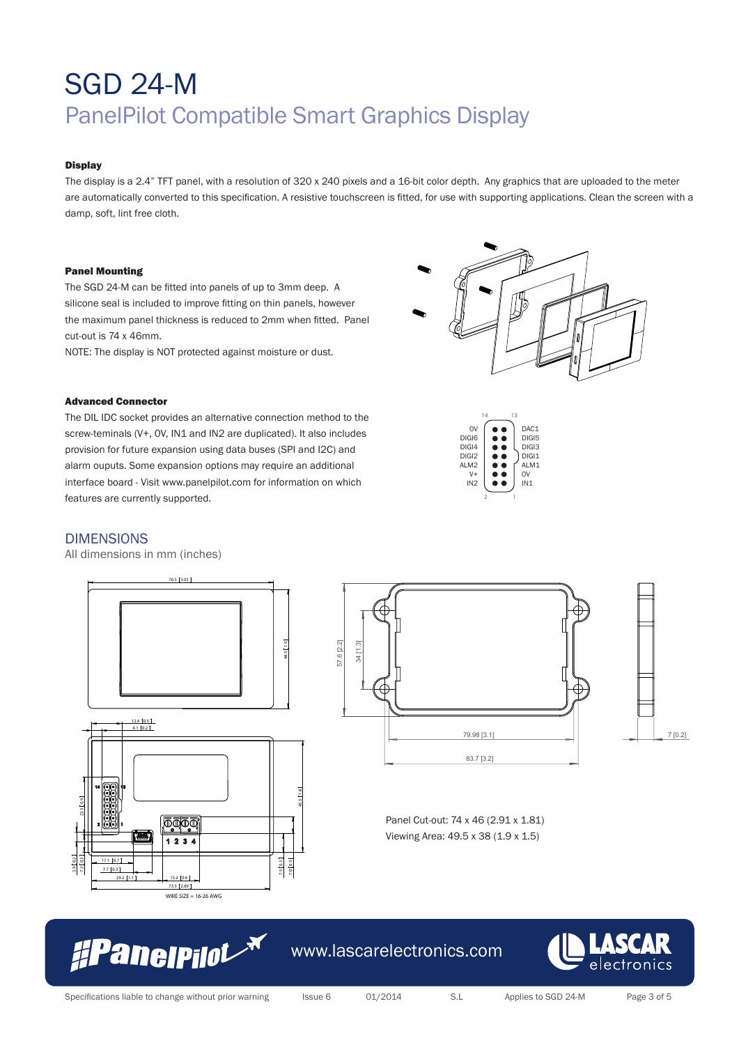### **Display**

The display is a 2.4" TFT panel, with a resolution of 320 x 240 pixels and a 16-bit color depth. Any graphics that are uploaded to the meter are automatically converted to this specification. A resistive touchscreen is fitted, for use with supporting applications. Clean the screen with a damp, soft, lint free cloth.

#### Panel Mounting

The SGD 24-M can be fitted into panels of up to 3mm deep. A silicone seal is included to improve fitting on thin panels, however the maximum panel thickness is reduced to 2mm when fitted. Panel cut-out is 74 x 46mm.

NOTE: The display is NOT protected against moisture or dust.

### Advanced Connector

The DIL IDC socket provides an alternative connection method to the screw-teminals (V+, OV, IN1 and IN2 are duplicated). It also includes provision for future expansion using data buses (SPI and I2C) and alarm ouputs. Some expansion options may require an additional interface board - Visit www.panelpilot.com for information on which features are currently supported.

### DIMENSIONS

3.9 0.2

All dimensions in mm (inches)







0V DIGI6 DIGI4 DIGI2 ALM2 V+ IN2 14 13

 $\bullet$  $\bullet$  $\blacksquare$ ă è

2 1

DAC<sub>1</sub> DIGI5 DIGI3 DIGI1 ALM1  $\overline{0}$ IN1

Panel Cut-out: 74 x 46 (2.91 x 1.81) Viewing Area: 49.5 x 38 (1.9 x 1.5)



www.lascarelectronics.com

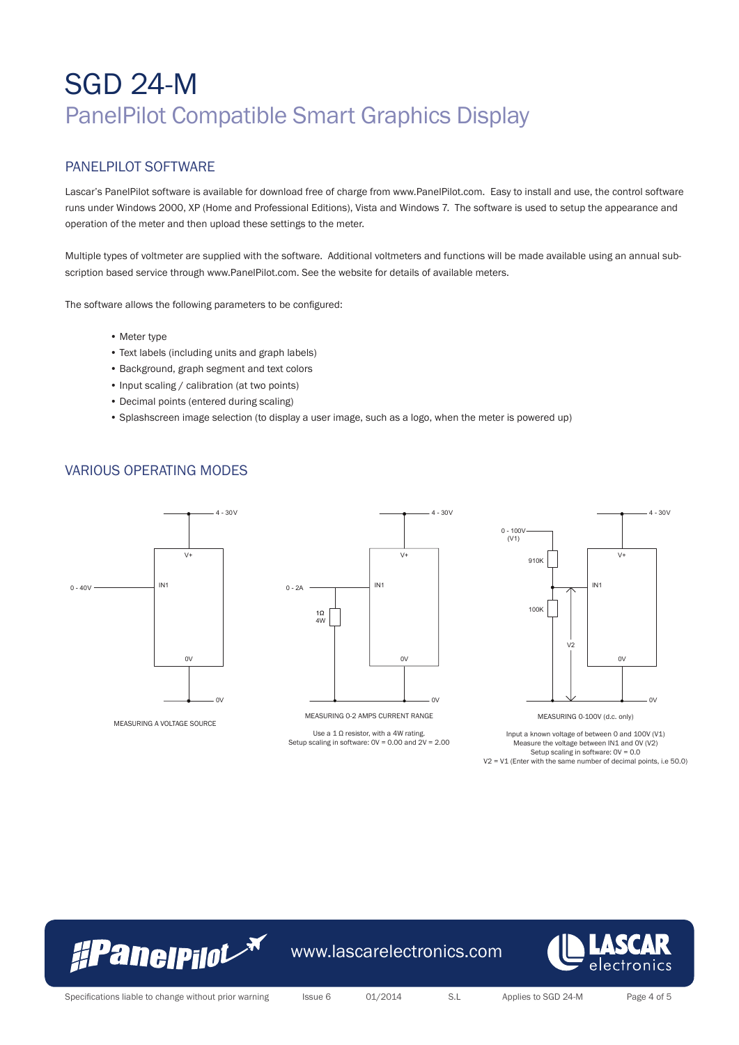### PANELPILOT SOFTWARE

Lascar's PanelPilot software is available for download free of charge from www.PanelPilot.com. Easy to install and use, the control software runs under Windows 2000, XP (Home and Professional Editions), Vista and Windows 7. The software is used to setup the appearance and operation of the meter and then upload these settings to the meter.

Multiple types of voltmeter are supplied with the software. Additional voltmeters and functions will be made available using an annual subscription based service through www.PanelPilot.com. See the website for details of available meters.

The software allows the following parameters to be configured:

- Meter type
- Text labels (including units and graph labels)
- Background, graph segment and text colors
- Input scaling / calibration (at two points)
- Decimal points (entered during scaling)
- Splashscreen image selection (to display a user image, such as a logo, when the meter is powered up)

### VARIOUS OPERATING MODES



Input a known voltage of between 0 and 100V (V1) Measure the voltage between IN1 and 0V (V2) Setup scaling in software: 0V = 0.0 V2 = V1 (Enter with the same number of decimal points, i.e 50.0)



www.lascarelectronics.com



Specifications liable to change without prior warning Issue 6 01/2014 S.L Applies to SGD 24-M Page 4 of 5